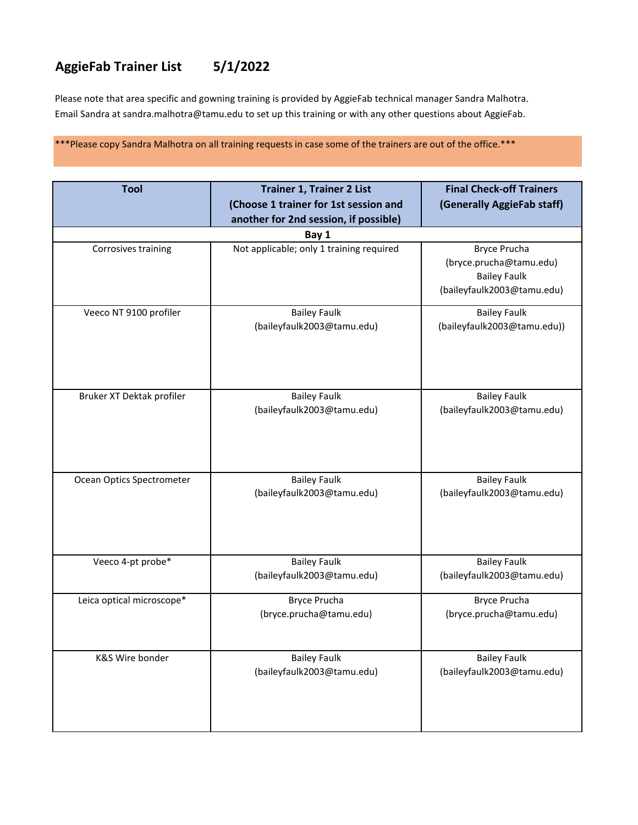## **AggieFab Trainer List 5/1/2022**

Please note that area specific and gowning training is provided by AggieFab technical manager Sandra Malhotra. Email Sandra at sandra.malhotra@tamu.edu to set up this training or with any other questions about AggieFab.

\*\*\*Please copy Sandra Malhotra on all training requests in case some of the trainers are out of the office.\*\*\*

| <b>Tool</b>               | <b>Trainer 1, Trainer 2 List</b>                  | <b>Final Check-off Trainers</b>                                                                     |  |  |
|---------------------------|---------------------------------------------------|-----------------------------------------------------------------------------------------------------|--|--|
|                           | (Choose 1 trainer for 1st session and             | (Generally AggieFab staff)                                                                          |  |  |
|                           | another for 2nd session, if possible)             |                                                                                                     |  |  |
| Bay 1                     |                                                   |                                                                                                     |  |  |
| Corrosives training       | Not applicable; only 1 training required          | <b>Bryce Prucha</b><br>(bryce.prucha@tamu.edu)<br><b>Bailey Faulk</b><br>(baileyfaulk2003@tamu.edu) |  |  |
| Veeco NT 9100 profiler    | <b>Bailey Faulk</b><br>(baileyfaulk2003@tamu.edu) | <b>Bailey Faulk</b><br>(baileyfaulk2003@tamu.edu))                                                  |  |  |
| Bruker XT Dektak profiler | <b>Bailey Faulk</b><br>(baileyfaulk2003@tamu.edu) | <b>Bailey Faulk</b><br>(baileyfaulk2003@tamu.edu)                                                   |  |  |
| Ocean Optics Spectrometer | <b>Bailey Faulk</b><br>(baileyfaulk2003@tamu.edu) | <b>Bailey Faulk</b><br>(baileyfaulk2003@tamu.edu)                                                   |  |  |
| Veeco 4-pt probe*         | <b>Bailey Faulk</b><br>(baileyfaulk2003@tamu.edu) | <b>Bailey Faulk</b><br>(baileyfaulk2003@tamu.edu)                                                   |  |  |
| Leica optical microscope* | <b>Bryce Prucha</b><br>(bryce.prucha@tamu.edu)    | <b>Bryce Prucha</b><br>(bryce.prucha@tamu.edu)                                                      |  |  |
| K&S Wire bonder           | <b>Bailey Faulk</b><br>(baileyfaulk2003@tamu.edu) | <b>Bailey Faulk</b><br>(baileyfaulk2003@tamu.edu)                                                   |  |  |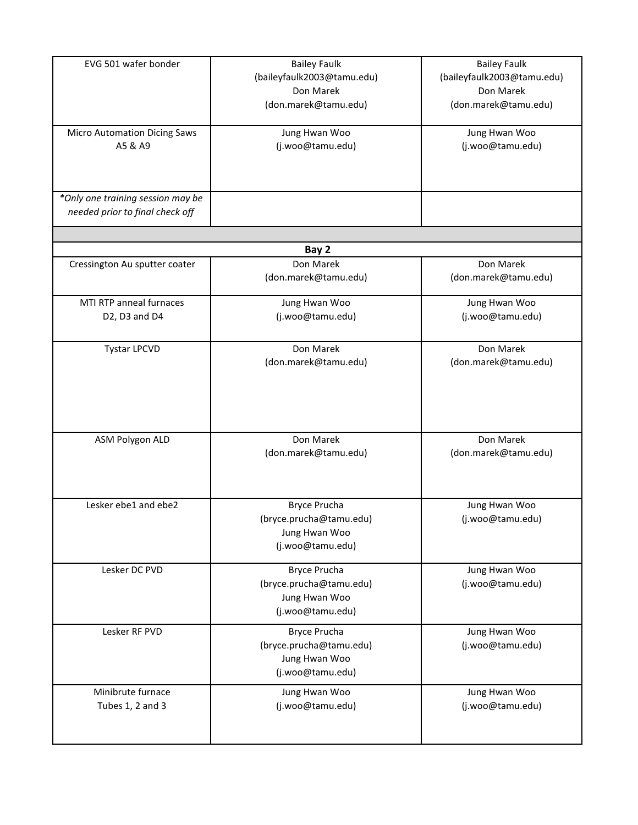| EVG 501 wafer bonder                                                 | <b>Bailey Faulk</b><br>(baileyfaulk2003@tamu.edu)<br>Don Marek                      | <b>Bailey Faulk</b><br>(baileyfaulk2003@tamu.edu)<br>Don Marek |
|----------------------------------------------------------------------|-------------------------------------------------------------------------------------|----------------------------------------------------------------|
|                                                                      | (don.marek@tamu.edu)                                                                | (don.marek@tamu.edu)                                           |
| <b>Micro Automation Dicing Saws</b><br>A5 & A9                       | Jung Hwan Woo<br>(j.woo@tamu.edu)                                                   | Jung Hwan Woo<br>(j.woo@tamu.edu)                              |
| *Only one training session may be<br>needed prior to final check off |                                                                                     |                                                                |
|                                                                      | Bay 2                                                                               |                                                                |
| Cressington Au sputter coater                                        | Don Marek<br>(don.marek@tamu.edu)                                                   | Don Marek<br>(don.marek@tamu.edu)                              |
| MTI RTP anneal furnaces<br>D2, D3 and D4                             | Jung Hwan Woo<br>(j.woo@tamu.edu)                                                   | Jung Hwan Woo<br>(j.woo@tamu.edu)                              |
| <b>Tystar LPCVD</b>                                                  | Don Marek<br>(don.marek@tamu.edu)                                                   | Don Marek<br>(don.marek@tamu.edu)                              |
| ASM Polygon ALD                                                      | Don Marek<br>(don.marek@tamu.edu)                                                   | Don Marek<br>(don.marek@tamu.edu)                              |
| Lesker ebe1 and ebe2                                                 | <b>Bryce Prucha</b><br>(bryce.prucha@tamu.edu)<br>Jung Hwan Woo<br>(j.woo@tamu.edu) | Jung Hwan Woo<br>(j.woo@tamu.edu)                              |
| Lesker DC PVD                                                        | <b>Bryce Prucha</b><br>(bryce.prucha@tamu.edu)<br>Jung Hwan Woo<br>(j.woo@tamu.edu) | Jung Hwan Woo<br>(j.woo@tamu.edu)                              |
| Lesker RF PVD                                                        | <b>Bryce Prucha</b><br>(bryce.prucha@tamu.edu)<br>Jung Hwan Woo<br>(j.woo@tamu.edu) | Jung Hwan Woo<br>(j.woo@tamu.edu)                              |
| Minibrute furnace<br>Tubes 1, 2 and 3                                | Jung Hwan Woo<br>(j.woo@tamu.edu)                                                   | Jung Hwan Woo<br>(j.woo@tamu.edu)                              |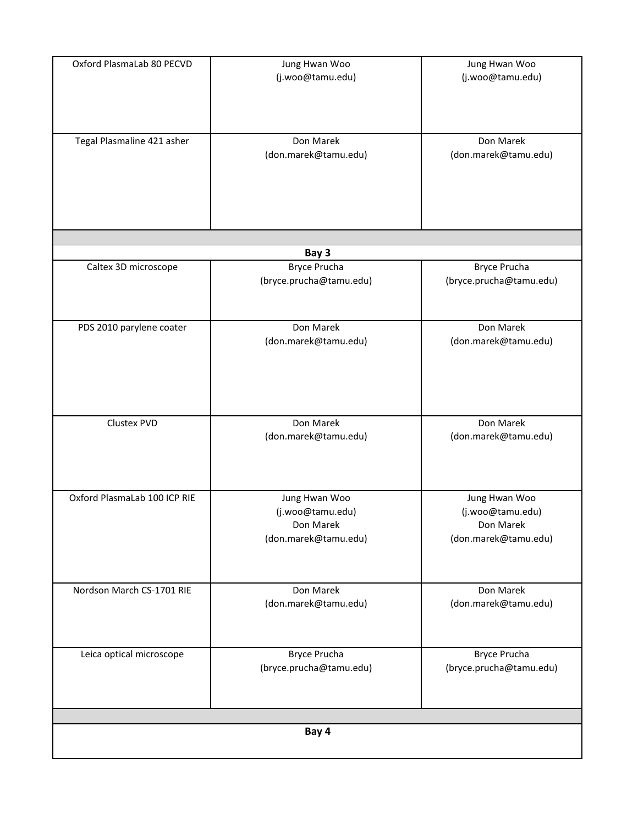| Oxford PlasmaLab 80 PECVD    | Jung Hwan Woo<br>(j.woo@tamu.edu)                                      | Jung Hwan Woo<br>(j.woo@tamu.edu)                                      |  |
|------------------------------|------------------------------------------------------------------------|------------------------------------------------------------------------|--|
| Tegal Plasmaline 421 asher   | Don Marek<br>(don.marek@tamu.edu)                                      | Don Marek<br>(don.marek@tamu.edu)                                      |  |
|                              |                                                                        |                                                                        |  |
| Caltex 3D microscope         | Bay 3<br><b>Bryce Prucha</b><br>(bryce.prucha@tamu.edu)                | <b>Bryce Prucha</b><br>(bryce.prucha@tamu.edu)                         |  |
| PDS 2010 parylene coater     | Don Marek<br>(don.marek@tamu.edu)                                      | Don Marek<br>(don.marek@tamu.edu)                                      |  |
| Clustex PVD                  | Don Marek<br>(don.marek@tamu.edu)                                      | Don Marek<br>(don.marek@tamu.edu)                                      |  |
| Oxford PlasmaLab 100 ICP RIE | Jung Hwan Woo<br>(j.woo@tamu.edu)<br>Don Marek<br>(don.marek@tamu.edu) | Jung Hwan Woo<br>(j.woo@tamu.edu)<br>Don Marek<br>(don.marek@tamu.edu) |  |
| Nordson March CS-1701 RIE    | Don Marek<br>(don.marek@tamu.edu)                                      | Don Marek<br>(don.marek@tamu.edu)                                      |  |
| Leica optical microscope     | <b>Bryce Prucha</b><br>(bryce.prucha@tamu.edu)                         | <b>Bryce Prucha</b><br>(bryce.prucha@tamu.edu)                         |  |
| Bay 4                        |                                                                        |                                                                        |  |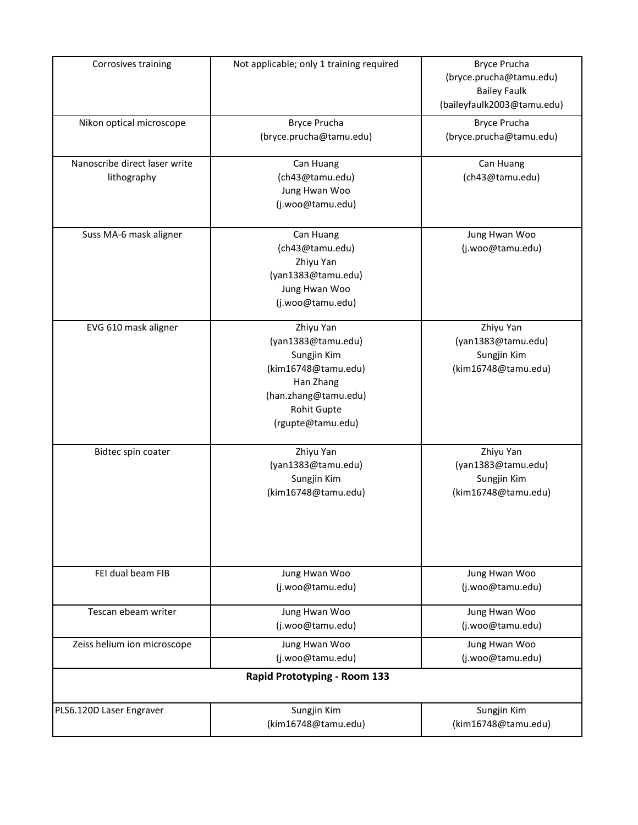| Corrosives training<br>Nikon optical microscope<br>Nanoscribe direct laser write<br>lithography | Not applicable; only 1 training required<br><b>Bryce Prucha</b><br>(bryce.prucha@tamu.edu)<br>Can Huang<br>(ch43@tamu.edu)<br>Jung Hwan Woo<br>(j.woo@tamu.edu) | <b>Bryce Prucha</b><br>(bryce.prucha@tamu.edu)<br><b>Bailey Faulk</b><br>(baileyfaulk2003@tamu.edu)<br><b>Bryce Prucha</b><br>(bryce.prucha@tamu.edu)<br>Can Huang<br>(ch43@tamu.edu) |
|-------------------------------------------------------------------------------------------------|-----------------------------------------------------------------------------------------------------------------------------------------------------------------|---------------------------------------------------------------------------------------------------------------------------------------------------------------------------------------|
| Suss MA-6 mask aligner                                                                          | Can Huang<br>(ch43@tamu.edu)<br>Zhiyu Yan<br>(yan1383@tamu.edu)<br>Jung Hwan Woo<br>(j.woo@tamu.edu)                                                            | Jung Hwan Woo<br>(j.woo@tamu.edu)                                                                                                                                                     |
| EVG 610 mask aligner                                                                            | Zhiyu Yan<br>(yan1383@tamu.edu)<br>Sungjin Kim<br>(kim16748@tamu.edu)<br>Han Zhang<br>(han.zhang@tamu.edu)<br>Rohit Gupte<br>(rgupte@tamu.edu)                  | Zhiyu Yan<br>(yan1383@tamu.edu)<br>Sungjin Kim<br>(kim16748@tamu.edu)                                                                                                                 |
| Bidtec spin coater                                                                              | Zhiyu Yan<br>(yan1383@tamu.edu)<br>Sungjin Kim<br>(kim16748@tamu.edu)                                                                                           | Zhiyu Yan<br>(yan1383@tamu.edu)<br>Sungjin Kim<br>(kim16748@tamu.edu)                                                                                                                 |
| FEI dual beam FIB                                                                               | Jung Hwan Woo<br>(j.woo@tamu.edu)                                                                                                                               | Jung Hwan Woo<br>(j.woo@tamu.edu)                                                                                                                                                     |
| Tescan ebeam writer                                                                             | Jung Hwan Woo<br>(j.woo@tamu.edu)                                                                                                                               | Jung Hwan Woo<br>(j.woo@tamu.edu)                                                                                                                                                     |
| Zeiss helium ion microscope                                                                     | Jung Hwan Woo<br>(j.woo@tamu.edu)<br>Rapid Prototyping - Room 133                                                                                               | Jung Hwan Woo<br>(j.woo@tamu.edu)                                                                                                                                                     |
| PLS6.120D Laser Engraver                                                                        | Sungjin Kim<br>(kim16748@tamu.edu)                                                                                                                              | Sungjin Kim<br>(kim16748@tamu.edu)                                                                                                                                                    |